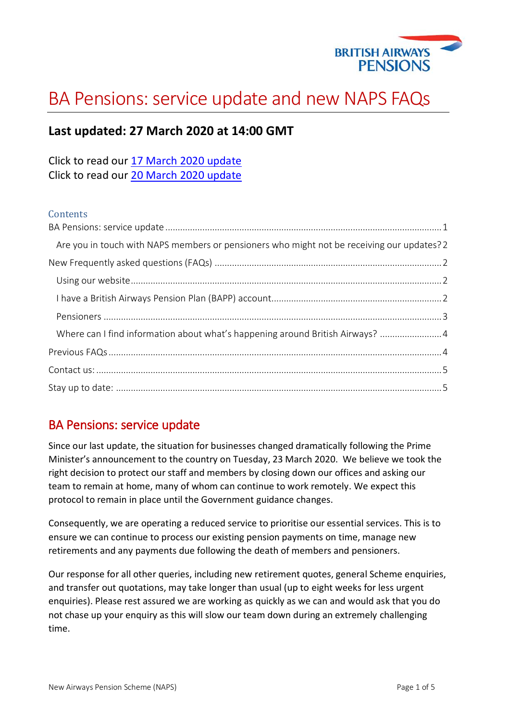

# BA Pensions: service update and new NAPS FAQs

# **Last updated: 27 March 2020 at 14:00 GMT**

Click to read our [17 March 2020 update](https://news.mybapension.com/system/resources/W1siZiIsIjIwMjAvMDMvMTcvOTY1ZjMyd3EyMF9DT1ZJRF8xOV9VcGRhdGVfMV8xNzAzMjBfMTQwMHIucGRmIl1d/COVID-19%20Update%201_170320_1400r.pdf) Click to read our [20 March 2020 update](https://news.mybapension.com/system/resources/W1siZiIsIjIwMjAvMDMvMjAvMnU2NmxkbzU5bl9OQVBTX01lbWJlcl9GQVFzXzIwMDMyMC5wZGYiXV0/NAPS%20Member%20FAQs%20200320.pdf)

#### **Contents**

| Are you in touch with NAPS members or pensioners who might not be receiving our updates? 2 |  |
|--------------------------------------------------------------------------------------------|--|
|                                                                                            |  |
|                                                                                            |  |
|                                                                                            |  |
|                                                                                            |  |
| Where can I find information about what's happening around British Airways? 4              |  |
|                                                                                            |  |
|                                                                                            |  |
|                                                                                            |  |

# <span id="page-0-0"></span>BA Pensions: service update

Since our last update, the situation for businesses changed dramatically following the Prime Minister's announcement to the country on Tuesday, 23 March 2020. We believe we took the right decision to protect our staff and members by closing down our offices and asking our team to remain at home, many of whom can continue to work remotely. We expect this protocol to remain in place until the Government guidance changes.

Consequently, we are operating a reduced service to prioritise our essential services. This is to ensure we can continue to process our existing pension payments on time, manage new retirements and any payments due following the death of members and pensioners.

Our response for all other queries, including new retirement quotes, general Scheme enquiries, and transfer out quotations, may take longer than usual (up to eight weeks for less urgent enquiries). Please rest assured we are working as quickly as we can and would ask that you do not chase up your enquiry as this will slow our team down during an extremely challenging time.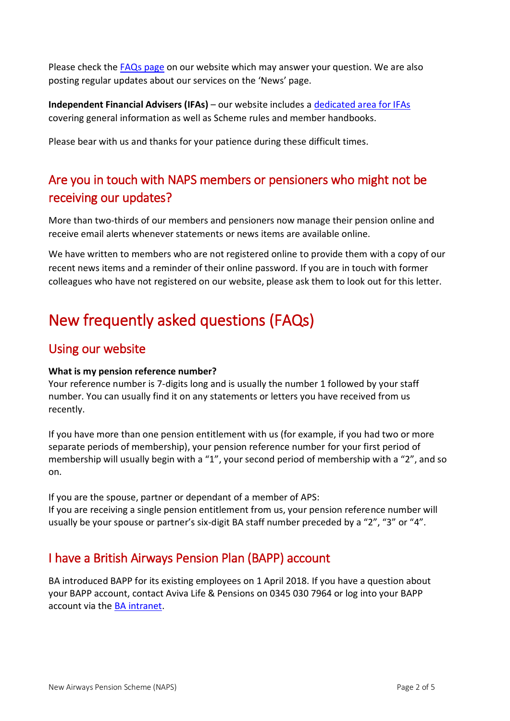Please check the [FAQs page](https://www.mybapension.com/naps/faqs/index) on our website which may answer your question. We are also posting regular updates about our services on the 'News' page.

**Independent Financial Advisers (IFAs)** – our website includes a [dedicated area for IFAs](https://www.mybapension.com/naps/information_for_ifas/index) covering general information as well as Scheme rules and member handbooks.

Please bear with us and thanks for your patience during these difficult times.

# <span id="page-1-0"></span>Are you in touch with NAPS members or pensioners who might not be receiving our updates?

More than two-thirds of our members and pensioners now manage their pension online and receive email alerts whenever statements or news items are available online.

We have written to members who are not registered online to provide them with a copy of our recent news items and a reminder of their online password. If you are in touch with former colleagues who have not registered on our website, please ask them to look out for this letter.

# <span id="page-1-1"></span>New frequently asked questions (FAQs)

## <span id="page-1-2"></span>Using our website

## **What is my pension reference number?**

Your reference number is 7-digits long and is usually the number 1 followed by your staff number. You can usually find it on any statements or letters you have received from us recently.

If you have more than one pension entitlement with us (for example, if you had two or more separate periods of membership), your pension reference number for your first period of membership will usually begin with a "1", your second period of membership with a "2", and so on.

If you are the spouse, partner or dependant of a member of APS: If you are receiving a single pension entitlement from us, your pension reference number will usually be your spouse or partner's six-digit BA staff number preceded by a "2", "3" or "4".

# <span id="page-1-3"></span>I have a British Airways Pension Plan (BAPP) account

BA introduced BAPP for its existing employees on 1 April 2018. If you have a question about your BAPP account, contact Aviva Life & Pensions on 0345 030 7964 or log into your BAPP account via the **BA intranet**.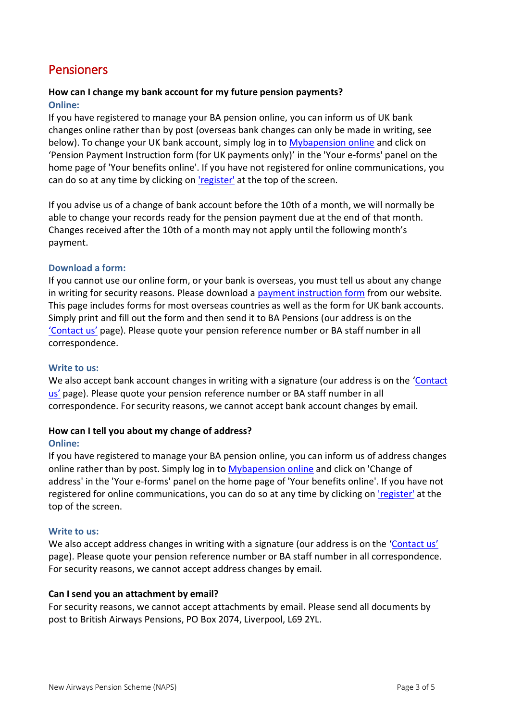# <span id="page-2-0"></span>**Pensioners**

### **How can I change my bank account for my future pension payments? Online:**

If you have registered to manage your BA pension online, you can inform us of UK bank changes online rather than by post (overseas bank changes can only be made in writing, see below). To change your UK bank account, simply log in to [Mybapension online](https://www.mybapension.com/users/sign_in) and click on 'Pension Payment Instruction form (for UK payments only)' in the 'Your e-forms' panel on the home page of 'Your benefits online'. If you have not registered for online communications, you can do so at any time by clicking on ['register'](https://www.mybapension.com/users/sign_up) at the top of the screen.

If you advise us of a change of bank account before the 10th of a month, we will normally be able to change your records ready for the pension payment due at the end of that month. Changes received after the 10th of a month may not apply until the following month's payment.

#### **Download a form:**

If you cannot use our online form, or your bank is overseas, you must tell us about any change in writing for security reasons. Please download a [payment instruction form](https://www.mybapension.com/naps/scheme/payment-instruction-forms) from our website. This page includes forms for most overseas countries as well as the form for UK bank accounts. Simply print and fill out the form and then send it to BA Pensions (our address is on the ['Contact us'](https://www.mybapension.com/naps/contact-us) page). Please quote your pension reference number or BA staff number in all correspondence.

#### **Write to us:**

We also accept bank account changes in writing with a signature (our address is on the 'Contact [us](https://www.mybapension.com/naps/contact-us)' page). Please quote your pension reference number or BA staff number in all correspondence. For security reasons, we cannot accept bank account changes by email.

#### **How can I tell you about my change of address?**

#### **Online:**

If you have registered to manage your BA pension online, you can inform us of address changes online rather than by post. Simply log in to [Mybapension online](https://www.mybapension.com/users/sign_in) and click on 'Change of address' in the 'Your e-forms' panel on the home page of 'Your benefits online'. If you have not registered for online communications, you can do so at any time by clicking on ['register'](https://www.mybapension.com/users/sign_up) at the top of the screen.

#### **Write to us:**

We also accept address changes in writing with a signature (our address is on the '[Contact us](https://www.mybapension.com/naps/contact-us)' page). Please quote your pension reference number or BA staff number in all correspondence. For security reasons, we cannot accept address changes by email.

#### **Can I send you an attachment by email?**

For security reasons, we cannot accept attachments by email. Please send all documents by post to British Airways Pensions, PO Box 2074, Liverpool, L69 2YL.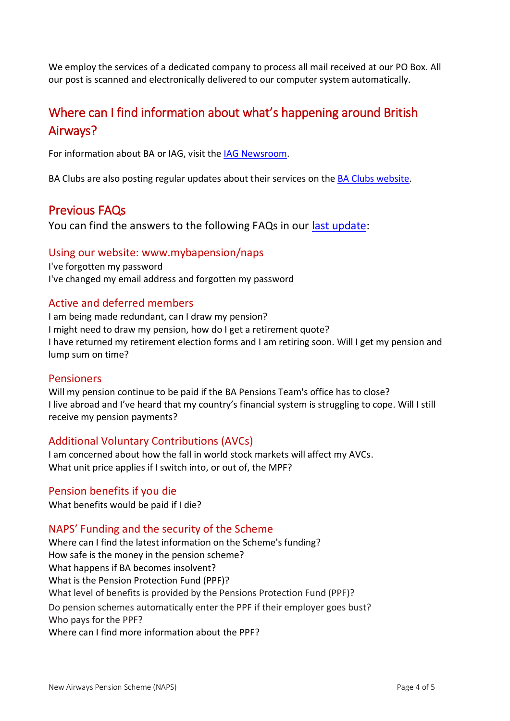We employ the services of a dedicated company to process all mail received at our PO Box. All our post is scanned and electronically delivered to our computer system automatically.

# <span id="page-3-0"></span>Where can I find information about what's happening around British Airways?

For information about BA or IAG, visit the [IAG Newsroom.](https://www.iairgroup.com/en/newsroom)

BA Clubs are also posting regular updates about their services on the [BA Clubs website.](http://www.baclubs.com/)

## <span id="page-3-1"></span>Previous FAQs

You can find the answers to the following FAQs in our [last update:](https://news.mybapension.com/system/resources/W1siZiIsIjIwMjAvMDMvMjAvMnU2NmxkbzU5bl9OQVBTX01lbWJlcl9GQVFzXzIwMDMyMC5wZGYiXV0/NAPS%20Member%20FAQs%20200320.pdf)

## Using our website: www.mybapension/naps

I've forgotten my password I've changed my email address and forgotten my password

## Active and deferred members

I am being made redundant, can I draw my pension? I might need to draw my pension, how do I get a retirement quote? I have returned my retirement election forms and I am retiring soon. Will I get my pension and lump sum on time?

## Pensioners

Will my pension continue to be paid if the BA Pensions Team's office has to close? I live abroad and I've heard that my country's financial system is struggling to cope. Will I still receive my pension payments?

## Additional Voluntary Contributions (AVCs)

I am concerned about how the fall in world stock markets will affect my AVCs. What unit price applies if I switch into, or out of, the MPF?

## Pension benefits if you die

What benefits would be paid if I die?

## NAPS' Funding and the security of the Scheme

Where can I find the latest information on the Scheme's funding? How safe is the money in the pension scheme? What happens if BA becomes insolvent? What is the Pension Protection Fund (PPF)? What level of benefits is provided by the Pensions Protection Fund (PPF)? Do pension schemes automatically enter the PPF if their employer goes bust? Who pays for the PPF? Where can I find more information about the PPF?